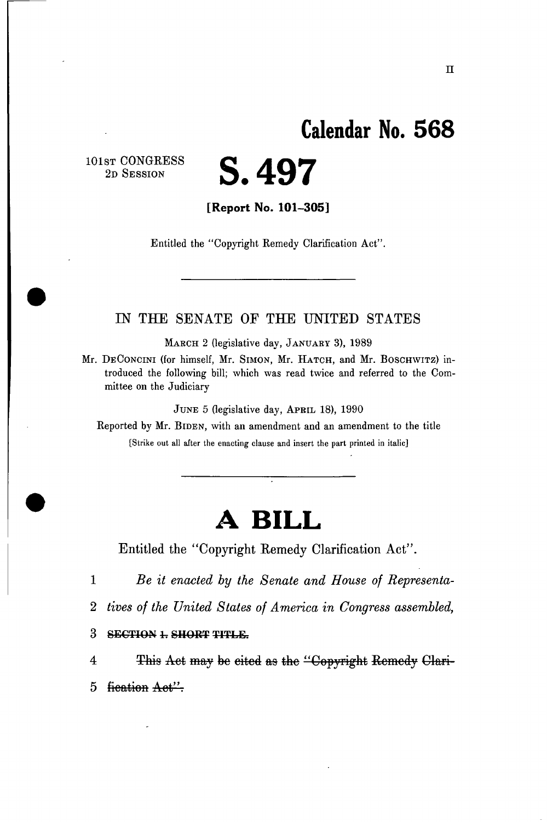## **Calendar No. 56 8**

101ST CONGRESS 2D SESSION

**S.497** 

**[Report No. 101-305]** 

Entitled the "Copyright Remedy Clarification Act".

## IN THE SENATE OP THE UNITED STATES

MAECH 2 (legislative day, JANUARY 3), 1989

Mr. DECONCINI (for himself, Mr. SIMON, Mr. HATCH, and Mr. BOSCHWITZ) introduced the following bill; which was read twice and referred to the Committee on the Judiciary

JUNE 5 (legislative day, APRIL 18), 1990

Reported by Mr. BIDEN, with an amendment and an amendment to the title [Strike out all after the enacting clause and insert the part printed in italic]

## **A BILL**

Entitled the "Copyright Eemedy Clarification Act".

1 *Be it enacted by the Senate and House of Representa-*

2 *tives of the United States of America in Congress assembled,* 

**3 SECTION** *±* **SHORT TITLE.** 

This Act may be cited as the "Copyright Remedy Clari- $\overline{4}$ 5 fication Act".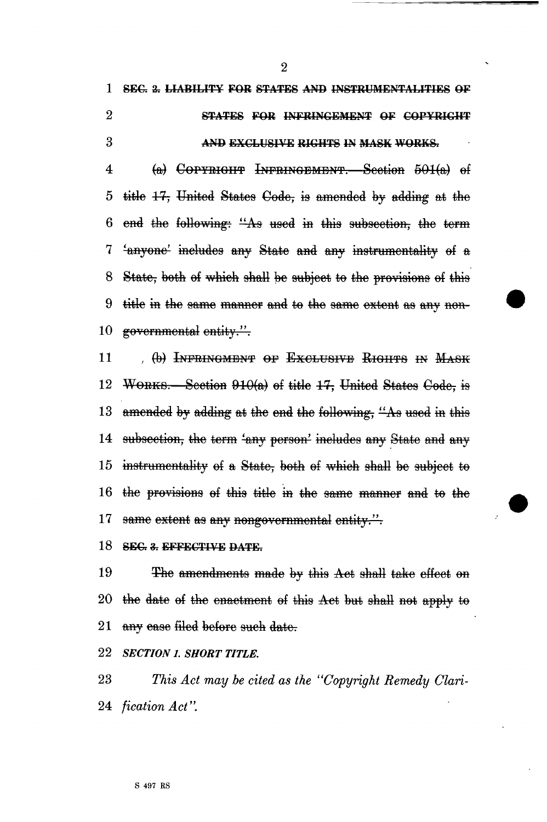1 SE€r 3, LIABILITY FOR STATES AND INSTRUMENTALITIES OF 2 STATES FOR INFRINGEMENT OF COPYRIGHT 3 ANP EXCLUSIVE RIGHTS IN MASK WORKS.

4 (a) COPYRIGHT INFRINGEMENT.—Section 501(a) ef-5 title 17, United States Code, is amended by adding at the 6 end the following:  *ilAs* used in this subsection, the term 7 'anyone' includes any State and any instrumentality el a 8 <del>State, both</del> of <del>which shall be subject to the provisions</del> of this 9 title *m* the same manner and te the same extent as any nen-10 governmental entity.".

11 (b) INFRINGMENT OF EXCLUSIVE RIGHTS IN MASK 12 WORKS.—Section  $910(a)$  of title 17, United States Code, is 13 amended by adding at the end the following, *<sup>11</sup>As* used in this 14 subsection, the term 'any person' includes any State and any 15 instrumentality of a State, both of which shall be subject to 16 the provisions of this title in the same manner and to the 17 same extent as any nongovernmental entity.".

18 SEC. 3. EFFECTIVE DATE.

19 The amendments made by this Aet shah<sup>1</sup> take effect en  $20$  the date of the enactment of this Aet but shall not apply to 21 any case filed before such date.

22 *SECTION 1. SHORT TITLE.* 

23 *This Act may be cited as the "Copyright Remedy Clari-*24 *fication Act".* 

2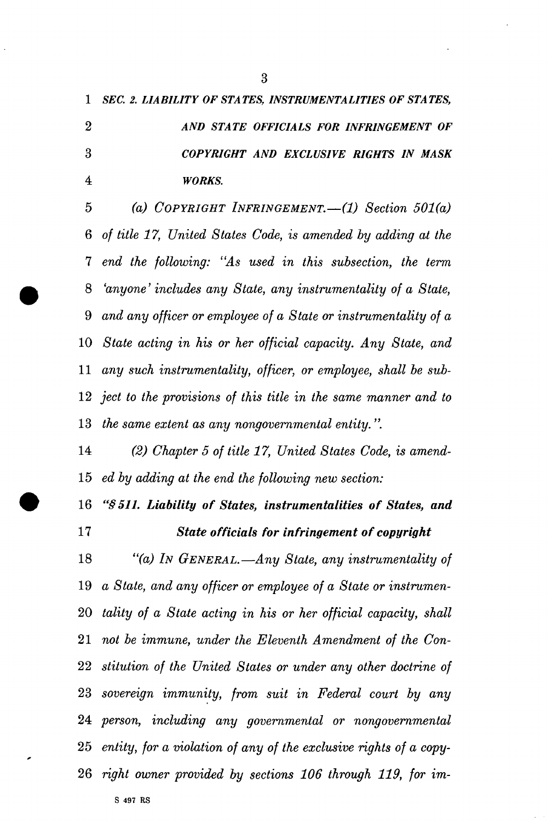*SEC. 2. LIABILITY OF STATES. INSTRUMENTALITIES OF STATES,* 

| $\boldsymbol{2}$        | AND STATE OFFICIALS FOR INFRINGEMENT OF                              |
|-------------------------|----------------------------------------------------------------------|
| 3                       | COPYRIGHT AND EXCLUSIVE RIGHTS IN MASK                               |
| $\overline{\mathbf{4}}$ | <b>WORKS.</b>                                                        |
| $\overline{5}$          | (a) COPYRIGHT INFRINGEMENT. $-(1)$ Section 501(a)                    |
| 6                       | of title 17, United States Code, is amended by adding at the         |
| $\bf 7$                 | end the following: "As used in this subsection, the term             |
| 8                       | 'anyone' includes any State, any instrumentality of a State,         |
| 9                       | and any officer or employee of a State or instrumentality of a       |
|                         | 10 State acting in his or her official capacity. Any State, and      |
| 11                      | any such instrumentality, officer, or employee, shall be sub-        |
|                         | 12 ject to the provisions of this title in the same manner and to    |
| 13                      | the same extent as any nongovernmental entity.".                     |
| 14                      | (2) Chapter 5 of title 17, United States Code, is amend-             |
| 15                      | ed by adding at the end the following new section:                   |
| 16                      | "\$511. Liability of States, instrumentalities of States, and        |
| 17                      | State officials for infringement of copyright                        |
| 18                      | "(a) In GENERAL.—Any State, any instrumentality of                   |
|                         | 19 a State, and any officer or employee of a State or instrumen-     |
|                         | 20 tality of a State acting in his or her official capacity, shall   |
|                         | 21 not be immune, under the Eleventh Amendment of the Con-           |
| $22\,$                  | stitution of the United States or under any other doctrine of        |
| $23\,$                  | sovereign immunity, from suit in Federal court by any                |
|                         | 24 person, including any governmental or nongovernmental             |
|                         | 25 entity, for a violation of any of the exclusive rights of a copy- |
|                         | 26 right owner provided by sections 106 through 119, for im-         |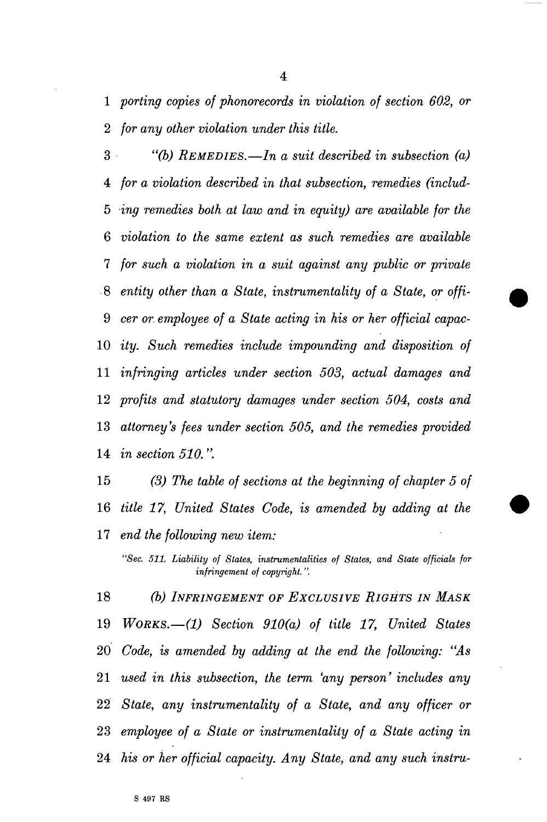*porting copies of phonorecords in violation of section 602, or for any other violation under this title.* 

 *"(b) REMEDIES.*—*In a suit described in subsection (a) for a violation described in that subsection, remedies (includ-5 ing remedies both at law and in equity) are available for the violation to the same extent as such remedies are available for such a violation in a suit against any public or private entity other than a State, instrumentality of a State, or offi- cer or. employee of a State acting in his or her official capac- ity. Such remedies include impounding and disposition of infringing articles under section 503, actual damages and profits and statutory damages under section 504, costs and attorney's fees under section 505, and the remedies provided in section 510. ".* 

 *(3) The table of sections at the beginning of chapter 5 of title 17, United States Code, is amended by adding at the end the following new item:* 

*"Sec. 511. Liability of States, instrumentalities of States, and State officials for infringement of copyright.".* 

 *(b) INFRINGEMENT OF EXCLUSIVE RIGHTS IN MASK WORKS.—(1) Section 910(a) of title 17, United States Code, is amended by adding at the end the following: "As used in this subsection, the term 'any person' includes any State, any instrumentality of a State, and any officer or employee of a State or instrumentality of a State acting in his or her official capacity. Any State, and any such instru-*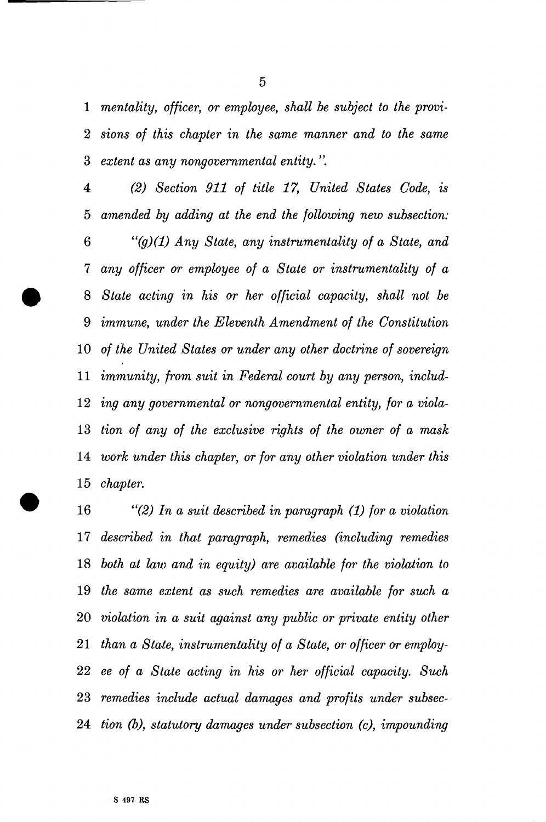*mentality, officer, or employee, shall be subject to the provi- sions of this chapter in the same manner and to the same extent as any nongovernmental entity.".* 

 *(2) Section 911 of title 17, United States Code, is amended by adding at the end the following new subsection: "(g)(1) Any State, any instrumentality of a State, and any officer or employee of a State or instrumentality of a State acting in his or her official capacity, shall not be immune, under the Eleventh Amendment of the Constitution of the United States or under any other doctrine of sovereign immunity, from suit in Federal court by any person, includ- ing any governmental or nongovernmental entity, for a viola- tion of any of the exclusive rights of the owner of a mask work under this chapter, or for any other violation under this chapter.* 

 *"(2) In a suit described in paragraph (1) for a violation described in that paragraph, remedies (including remedies both at law and in equity) are available for the violation to the same extent as such remedies are available for such a violation in a suit against any public or private entity other than a State, instrumentality of a State, or officer or employ- ee of a State acting in his or her official capacity. Such remedies include actual damages and profits under subsec- tion (b), statutory damages under subsection (c), impounding*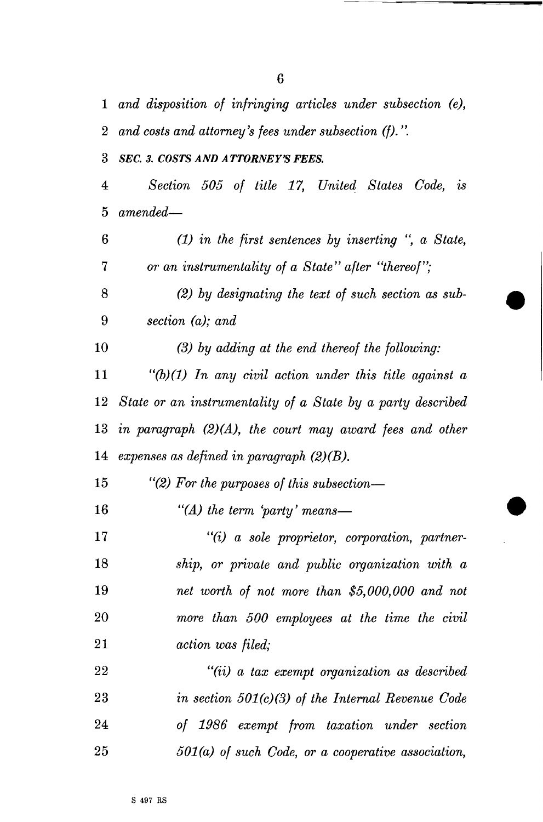*and disposition of infringing articles under subsection (e), and costs and attorney's fees under subsection (f).". SEC. 3. COSTS AND A TTORNEY'S FEES. Section 505 of title 17, United States Code, is amended*—  *(1) in the first sentences by inserting ", a State, or an instrumentality of a State" after "thereof"; (2) by designating the text of such section as sub- section (a); and (3) by adding at the end thereof the following: "(b)(1) In any civil action under this title against a State or an instrumentality of a State by a party described in paragraph (2) (A), the court may award fees and other expenses as defined in paragraph (2)(B). "(2) For the purposes of this subsection*—  *"(A) the term 'party' means*—  *"(i) a sole proprietor, corporation, partner- ship, or private and public organization with a net worth of not more than \$5,000,000 and not more than 500 employees at the time the civil action was filed; "(ii) a tax exempt organization as described in section 501(c)(3) of the Internal Revenue Code of 1986 exempt from taxation under section 501(a) of such Code, or a cooperative association,*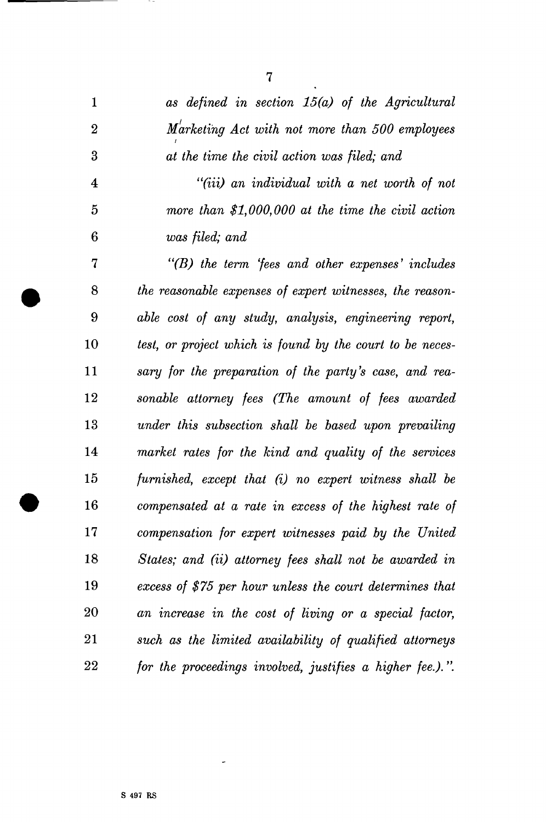$\ddot{\phantom{1}}$ 

 $\overline{\phantom{0}}$ 

 $-$ 

| $\mathbf{1}$            | as defined in section $15(a)$ of the Agricultural         |
|-------------------------|-----------------------------------------------------------|
| $\overline{2}$          | Marketing Act with not more than 500 employees            |
| 3                       | at the time the civil action was filed; and               |
| $\overline{\mathbf{4}}$ | "(iii) an individual with a net worth of not              |
| $\overline{5}$          | more than $$1,000,000$ at the time the civil action       |
| 6                       | was filed; and                                            |
| 7                       | $"$ (B) the term 'fees and other expenses' includes       |
| 8                       | the reasonable expenses of expert witnesses, the reason-  |
| 9                       | able cost of any study, analysis, engineering report,     |
| 10                      | test, or project which is found by the court to be neces- |
| 11                      | sary for the preparation of the party's case, and rea-    |
| 12                      | sonable attorney fees (The amount of fees awarded         |
| 13                      | under this subsection shall be based upon prevailing      |
| 14                      | market rates for the kind and quality of the services     |
| 15                      | furnished, except that (i) no expert witness shall be     |
| 16                      | compensated at a rate in excess of the highest rate of    |
| 17                      | compensation for expert witnesses paid by the United      |
| 18                      | States; and (ii) attorney fees shall not be awarded in    |
| 19                      | excess of \$75 per hour unless the court determines that  |
| 20                      | an increase in the cost of living or a special factor,    |
| 21                      | such as the limited availability of qualified attorneys   |
| 22                      | for the proceedings involved, justifies a higher fee.).". |

 $\omega$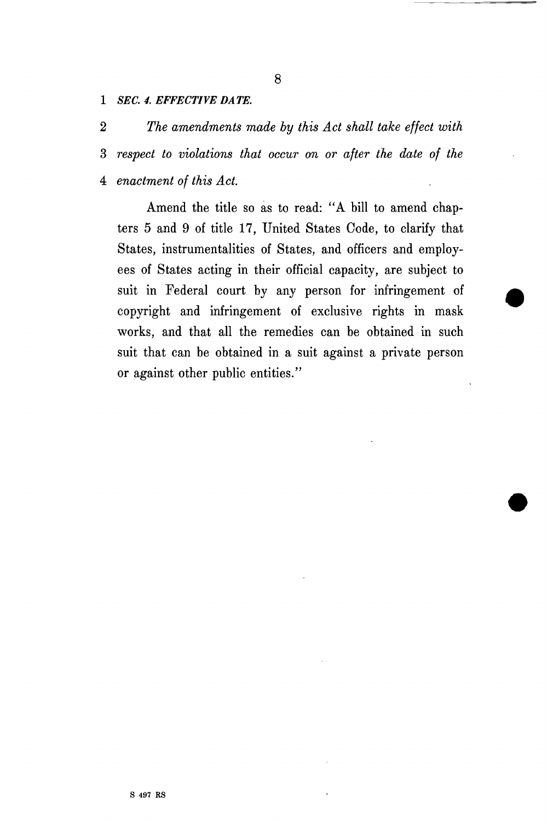1 *SEC. 4. EFFECTIVE DATE.* 

*2 The amendments made by this Act shall take effect with*  3 *respect to violations that occur on or after the date of the*  4 *enactment of this Act.* 

Amend the title so as to read: "A bill to amend chapters 5 and 9 of title 17, United States Code, to clarify that States, instrumentalities of States, and officers and employees of States acting in their official capacity, are subject to suit in Federal court by any person for infringement of copyright and infringement of exclusive rights in mask works, and that all the remedies can be obtained in such suit that can be obtained in a suit against a private person or against other public entities."